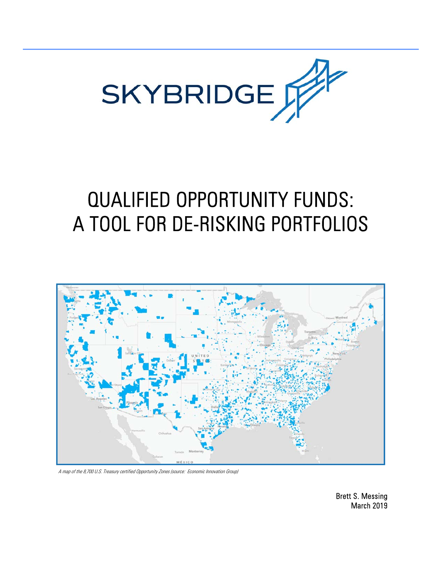

# QUALIFIED OPPORTUNITY FUNDS: A TOOL FOR DE-RISKING PORTFOLIOS



A map of the 8,700 U.S. Treasury certified Opportunity Zones (source: Economic Innovation Group)

Brett S. Messing March 2019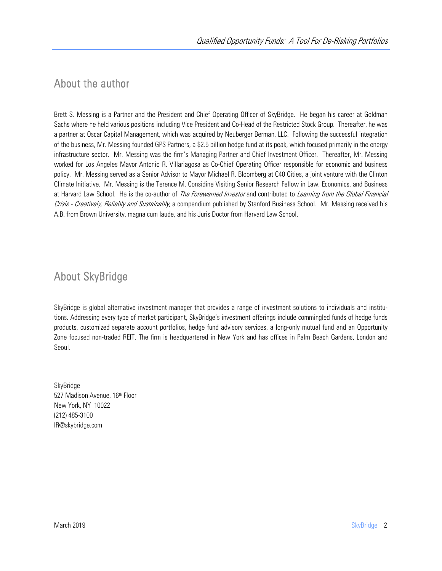## About the author

Brett S. Messing is a Partner and the President and Chief Operating Officer of SkyBridge. He began his career at Goldman Sachs where he held various positions including Vice President and Co-Head of the Restricted Stock Group. Thereafter, he was a partner at Oscar Capital Management, which was acquired by Neuberger Berman, LLC. Following the successful integration of the business, Mr. Messing founded GPS Partners, a \$2.5 billion hedge fund at its peak, which focused primarily in the energy infrastructure sector. Mr. Messing was the firm's Managing Partner and Chief Investment Officer. Thereafter, Mr. Messing worked for Los Angeles Mayor Antonio R. Villariagosa as Co-Chief Operating Officer responsible for economic and business policy. Mr. Messing served as a Senior Advisor to Mayor Michael R. Bloomberg at C40 Cities, a joint venture with the Clinton Climate Initiative. Mr. Messing is the Terence M. Considine Visiting Senior Research Fellow in Law, Economics, and Business at Harvard Law School. He is the co-author of The Forewarned Investor and contributed to Learning from the Global Financial Crisis - Creatively, Reliably and Sustainably, a compendium published by Stanford Business School. Mr. Messing received his A.B. from Brown University, magna cum laude, and his Juris Doctor from Harvard Law School.

## About SkyBridge

SkyBridge is global alternative investment manager that provides a range of investment solutions to individuals and institutions. Addressing every type of market participant, SkyBridge's investment offerings include commingled funds of hedge funds products, customized separate account portfolios, hedge fund advisory services, a long-only mutual fund and an Opportunity Zone focused non-traded REIT. The firm is headquartered in New York and has offices in Palm Beach Gardens, London and Seoul.

SkyBridge 527 Madison Avenue, 16th Floor New York, NY 10022 (212) 485-3100 IR@skybridge.com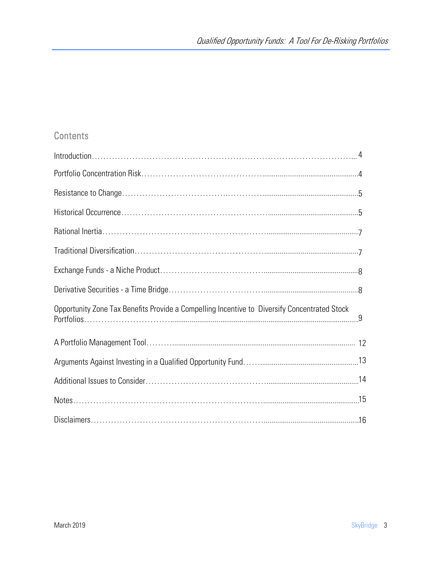#### **Contents**

| Opportunity Zone Tax Benefits Provide a Compelling Incentive to Diversify Concentrated Stock |  |
|----------------------------------------------------------------------------------------------|--|
|                                                                                              |  |
|                                                                                              |  |
|                                                                                              |  |
|                                                                                              |  |
|                                                                                              |  |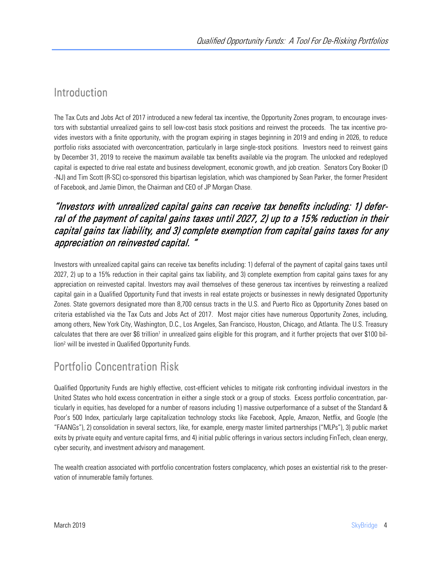## Introduction

The Tax Cuts and Jobs Act of 2017 introduced a new federal tax incentive, the Opportunity Zones program, to encourage investors with substantial unrealized gains to sell low-cost basis stock positions and reinvest the proceeds. The tax incentive provides investors with a finite opportunity, with the program expiring in stages beginning in 2019 and ending in 2026, to reduce portfolio risks associated with overconcentration, particularly in large single-stock positions. Investors need to reinvest gains by December 31, 2019 to receive the maximum available tax benefits available via the program. The unlocked and redeployed capital is expected to drive real estate and business development, economic growth, and job creation. Senators Cory Booker (D -NJ) and Tim Scott (R-SC) co-sponsored this bipartisan legislation, which was championed by Sean Parker, the former President of Facebook, and Jamie Dimon, the Chairman and CEO of JP Morgan Chase.

#### "Investors with unrealized capital gains can receive tax benefits including: 1) deferral of the payment of capital gains taxes until 2027, 2) up to a 15% reduction in their capital gains tax liability, and 3) complete exemption from capital gains taxes for any appreciation on reinvested capital. "

Investors with unrealized capital gains can receive tax benefits including: 1) deferral of the payment of capital gains taxes until 2027, 2) up to a 15% reduction in their capital gains tax liability, and 3) complete exemption from capital gains taxes for any appreciation on reinvested capital. Investors may avail themselves of these generous tax incentives by reinvesting a realized capital gain in a Qualified Opportunity Fund that invests in real estate projects or businesses in newly designated Opportunity Zones. State governors designated more than 8,700 census tracts in the U.S. and Puerto Rico as Opportunity Zones based on criteria established via the Tax Cuts and Jobs Act of 2017. Most major cities have numerous Opportunity Zones, including, among others, New York City, Washington, D.C., Los Angeles, San Francisco, Houston, Chicago, and Atlanta. The U.S. Treasury calculates that there are over \$6 trillion<sup>1</sup> in unrealized gains eligible for this program, and it further projects that over \$100 billion2 will be invested in Qualified Opportunity Funds.

## Portfolio Concentration Risk

Qualified Opportunity Funds are highly effective, cost-efficient vehicles to mitigate risk confronting individual investors in the United States who hold excess concentration in either a single stock or a group of stocks. Excess portfolio concentration, particularly in equities, has developed for a number of reasons including 1) massive outperformance of a subset of the Standard & Poor's 500 Index, particularly large capitalization technology stocks like Facebook, Apple, Amazon, Netflix, and Google (the "FAANGs"), 2) consolidation in several sectors, like, for example, energy master limited partnerships ("MLPs"), 3) public market exits by private equity and venture capital firms, and 4) initial public offerings in various sectors including FinTech, clean energy, cyber security, and investment advisory and management.

The wealth creation associated with portfolio concentration fosters complacency, which poses an existential risk to the preservation of innumerable family fortunes.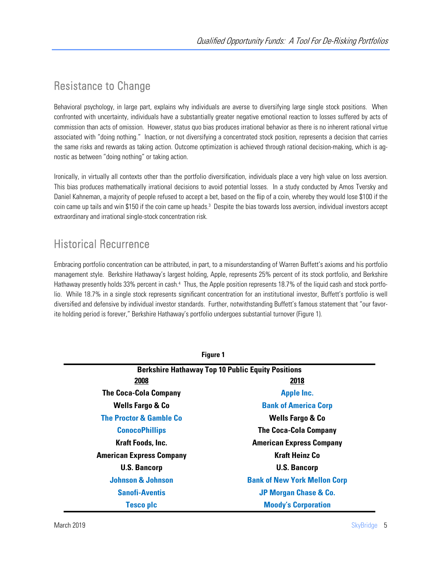## Resistance to Change

Behavioral psychology, in large part, explains why individuals are averse to diversifying large single stock positions. When confronted with uncertainty, individuals have a substantially greater negative emotional reaction to losses suffered by acts of commission than acts of omission. However, status quo bias produces irrational behavior as there is no inherent rational virtue associated with "doing nothing." Inaction, or not diversifying a concentrated stock position, represents a decision that carries the same risks and rewards as taking action. Outcome optimization is achieved through rational decision-making, which is agnostic as between "doing nothing" or taking action.

Ironically, in virtually all contexts other than the portfolio diversification, individuals place a very high value on loss aversion. This bias produces mathematically irrational decisions to avoid potential losses. In a study conducted by Amos Tversky and Daniel Kahneman, a majority of people refused to accept a bet, based on the flip of a coin, whereby they would lose \$100 if the coin came up tails and win \$150 if the coin came up heads.3 Despite the bias towards loss aversion, individual investors accept extraordinary and irrational single-stock concentration risk.

## Historical Recurrence

Embracing portfolio concentration can be attributed, in part, to a misunderstanding of Warren Buffett's axioms and his portfolio management style. Berkshire Hathaway's largest holding, Apple, represents 25% percent of its stock portfolio, and Berkshire Hathaway presently holds 33% percent in cash.<sup>4</sup> Thus, the Apple position represents 18.7% of the liquid cash and stock portfolio. While 18.7% in a single stock represents significant concentration for an institutional investor, Buffett's portfolio is well diversified and defensive by individual investor standards. Further, notwithstanding Buffett's famous statement that "our favorite holding period is forever," Berkshire Hathaway's portfolio undergoes substantial turnover (Figure 1).

| <b>Figure 1</b>                                          |                                     |  |  |
|----------------------------------------------------------|-------------------------------------|--|--|
| <b>Berkshire Hathaway Top 10 Public Equity Positions</b> |                                     |  |  |
| 2008                                                     | 2018                                |  |  |
| <b>The Coca-Cola Company</b>                             | <b>Apple Inc.</b>                   |  |  |
| <b>Wells Fargo &amp; Co</b>                              | <b>Bank of America Corp</b>         |  |  |
| <b>The Proctor &amp; Gamble Co</b>                       | <b>Wells Fargo &amp; Co</b>         |  |  |
| <b>ConocoPhillips</b>                                    | <b>The Coca-Cola Company</b>        |  |  |
| Kraft Foods, Inc.                                        | <b>American Express Company</b>     |  |  |
| <b>American Express Company</b>                          | <b>Kraft Heinz Co</b>               |  |  |
| <b>U.S. Bancorp</b>                                      | <b>U.S. Bancorp</b>                 |  |  |
| <b>Johnson &amp; Johnson</b>                             | <b>Bank of New York Mellon Corp</b> |  |  |
| <b>Sanofi-Aventis</b>                                    | JP Morgan Chase & Co.               |  |  |
| Tesco plc                                                | <b>Moody's Corporation</b>          |  |  |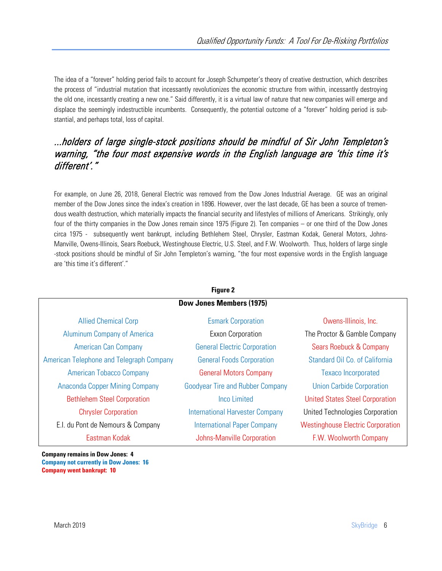The idea of a "forever" holding period fails to account for Joseph Schumpeter's theory of creative destruction, which describes the process of "industrial mutation that incessantly revolutionizes the economic structure from within, incessantly destroying the old one, incessantly creating a new one." Said differently, it is a virtual law of nature that new companies will emerge and displace the seemingly indestructible incumbents. Consequently, the potential outcome of a "forever" holding period is substantial, and perhaps total, loss of capital.

#### ...holders of large single-stock positions should be mindful of Sir John Templeton's warning, "the four most expensive words in the English language are 'this time it's different'."

For example, on June 26, 2018, General Electric was removed from the Dow Jones Industrial Average. GE was an original member of the Dow Jones since the index's creation in 1896. However, over the last decade, GE has been a source of tremendous wealth destruction, which materially impacts the financial security and lifestyles of millions of Americans. Strikingly, only four of the thirty companies in the Dow Jones remain since 1975 (Figure 2). Ten companies – or one third of the Dow Jones circa 1975 - subsequently went bankrupt, including Bethlehem Steel, Chrysler, Eastman Kodak, General Motors, Johns-Manville, Owens-Illinois, Sears Roebuck, Westinghouse Electric, U.S. Steel, and F.W. Woolworth. Thus, holders of large single -stock positions should be mindful of Sir John Templeton's warning, "the four most expensive words in the English language are 'this time it's different'."

| Figure 2                                 |                                         |                                          |  |  |
|------------------------------------------|-----------------------------------------|------------------------------------------|--|--|
|                                          | <b>Dow Jones Members (1975)</b>         |                                          |  |  |
| <b>Allied Chemical Corp</b>              | <b>Esmark Corporation</b>               | Owens-Illinois, Inc.                     |  |  |
| <b>Aluminum Company of America</b>       | Exxon Corporation                       | The Proctor & Gamble Company             |  |  |
| <b>American Can Company</b>              | <b>General Electric Corporation</b>     | Sears Roebuck & Company                  |  |  |
| American Telephone and Telegraph Company | <b>General Foods Corporation</b>        | Standard Oil Co. of California           |  |  |
| <b>American Tobacco Company</b>          | <b>General Motors Company</b>           | <b>Texaco Incorporated</b>               |  |  |
| Anaconda Copper Mining Company           | <b>Goodyear Tire and Rubber Company</b> | <b>Union Carbide Corporation</b>         |  |  |
| <b>Bethlehem Steel Corporation</b>       | <b>Inco Limited</b>                     | <b>United States Steel Corporation</b>   |  |  |
| <b>Chrysler Corporation</b>              | <b>International Harvester Company</b>  | United Technologies Corporation          |  |  |
| E.I. du Pont de Nemours & Company        | <b>International Paper Company</b>      | <b>Westinghouse Electric Corporation</b> |  |  |
| Eastman Kodak                            | Johns-Manville Corporation              | F.W. Woolworth Company                   |  |  |

**Company remains in Dow Jones: 4 Company not currently in Dow Jones: 16 Company went bankrupt: 10**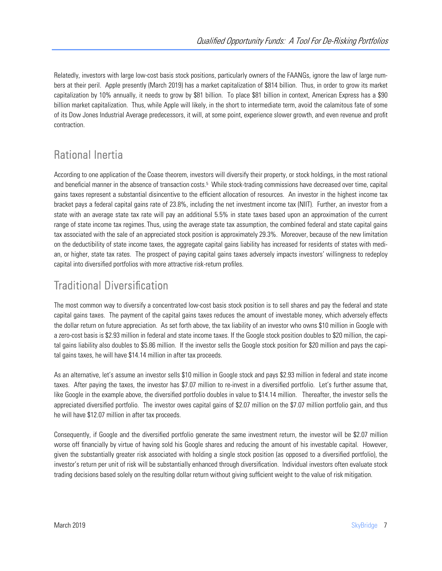Relatedly, investors with large low-cost basis stock positions, particularly owners of the FAANGs, ignore the law of large numbers at their peril. Apple presently (March 2019) has a market capitalization of \$814 billion. Thus, in order to grow its market capitalization by 10% annually, it needs to grow by \$81 billion. To place \$81 billion in context, American Express has a \$90 billion market capitalization. Thus, while Apple will likely, in the short to intermediate term, avoid the calamitous fate of some of its Dow Jones Industrial Average predecessors, it will, at some point, experience slower growth, and even revenue and profit contraction.

## Rational Inertia

According to one application of the Coase theorem, investors will diversify their property, or stock holdings, in the most rational and beneficial manner in the absence of transaction costs.<sup>5</sup> While stock-trading commissions have decreased over time, capital gains taxes represent a substantial disincentive to the efficient allocation of resources. An investor in the highest income tax bracket pays a federal capital gains rate of 23.8%, including the net investment income tax (NIIT). Further, an investor from a state with an average state tax rate will pay an additional 5.5% in state taxes based upon an approximation of the current range of state income tax regimes. Thus, using the average state tax assumption, the combined federal and state capital gains tax associated with the sale of an appreciated stock position is approximately 29.3%. Moreover, because of the new limitation on the deductibility of state income taxes, the aggregate capital gains liability has increased for residents of states with median, or higher, state tax rates. The prospect of paying capital gains taxes adversely impacts investors' willingness to redeploy capital into diversified portfolios with more attractive risk-return profiles.

## Traditional Diversification

The most common way to diversify a concentrated low-cost basis stock position is to sell shares and pay the federal and state capital gains taxes. The payment of the capital gains taxes reduces the amount of investable money, which adversely effects the dollar return on future appreciation. As set forth above, the tax liability of an investor who owns \$10 million in Google with a zero-cost basis is \$2.93 million in federal and state income taxes. If the Google stock position doubles to \$20 million, the capital gains liability also doubles to \$5.86 million. If the investor sells the Google stock position for \$20 million and pays the capital gains taxes, he will have \$14.14 million in after tax proceeds.

As an alternative, let's assume an investor sells \$10 million in Google stock and pays \$2.93 million in federal and state income taxes. After paying the taxes, the investor has \$7.07 million to re-invest in a diversified portfolio. Let's further assume that, like Google in the example above, the diversified portfolio doubles in value to \$14.14 million. Thereafter, the investor sells the appreciated diversified portfolio. The investor owes capital gains of \$2.07 million on the \$7.07 million portfolio gain, and thus he will have \$12.07 million in after tax proceeds.

Consequently, if Google and the diversified portfolio generate the same investment return, the investor will be \$2.07 million worse off financially by virtue of having sold his Google shares and reducing the amount of his investable capital. However, given the substantially greater risk associated with holding a single stock position (as opposed to a diversified portfolio), the investor's return per unit of risk will be substantially enhanced through diversification. Individual investors often evaluate stock trading decisions based solely on the resulting dollar return without giving sufficient weight to the value of risk mitigation.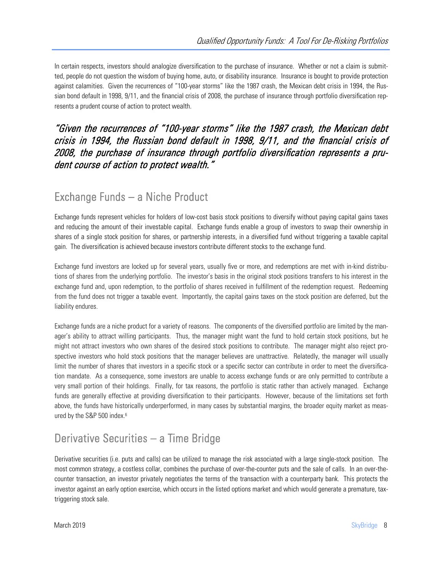In certain respects, investors should analogize diversification to the purchase of insurance. Whether or not a claim is submitted, people do not question the wisdom of buying home, auto, or disability insurance. Insurance is bought to provide protection against calamities. Given the recurrences of "100-year storms" like the 1987 crash, the Mexican debt crisis in 1994, the Russian bond default in 1998, 9/11, and the financial crisis of 2008, the purchase of insurance through portfolio diversification represents a prudent course of action to protect wealth.

#### "Given the recurrences of "100-year storms" like the 1987 crash, the Mexican debt crisis in 1994, the Russian bond default in 1998, 9/11, and the financial crisis of 2008, the purchase of insurance through portfolio diversification represents a prudent course of action to protect wealth."

### Exchange Funds – a Niche Product

Exchange funds represent vehicles for holders of low-cost basis stock positions to diversify without paying capital gains taxes and reducing the amount of their investable capital. Exchange funds enable a group of investors to swap their ownership in shares of a single stock position for shares, or partnership interests, in a diversified fund without triggering a taxable capital gain. The diversification is achieved because investors contribute different stocks to the exchange fund.

Exchange fund investors are locked up for several years, usually five or more, and redemptions are met with in-kind distributions of shares from the underlying portfolio. The investor's basis in the original stock positions transfers to his interest in the exchange fund and, upon redemption, to the portfolio of shares received in fulfillment of the redemption request. Redeeming from the fund does not trigger a taxable event. Importantly, the capital gains taxes on the stock position are deferred, but the liability endures.

Exchange funds are a niche product for a variety of reasons. The components of the diversified portfolio are limited by the manager's ability to attract willing participants. Thus, the manager might want the fund to hold certain stock positions, but he might not attract investors who own shares of the desired stock positions to contribute. The manager might also reject prospective investors who hold stock positions that the manager believes are unattractive. Relatedly, the manager will usually limit the number of shares that investors in a specific stock or a specific sector can contribute in order to meet the diversification mandate. As a consequence, some investors are unable to access exchange funds or are only permitted to contribute a very small portion of their holdings. Finally, for tax reasons, the portfolio is static rather than actively managed. Exchange funds are generally effective at providing diversification to their participants. However, because of the limitations set forth above, the funds have historically underperformed, in many cases by substantial margins, the broader equity market as measured by the S&P 500 index.<sup>6</sup>

## Derivative Securities – a Time Bridge

Derivative securities (i.e. puts and calls) can be utilized to manage the risk associated with a large single-stock position. The most common strategy, a costless collar, combines the purchase of over-the-counter puts and the sale of calls. In an over-thecounter transaction, an investor privately negotiates the terms of the transaction with a counterparty bank. This protects the investor against an early option exercise, which occurs in the listed options market and which would generate a premature, taxtriggering stock sale.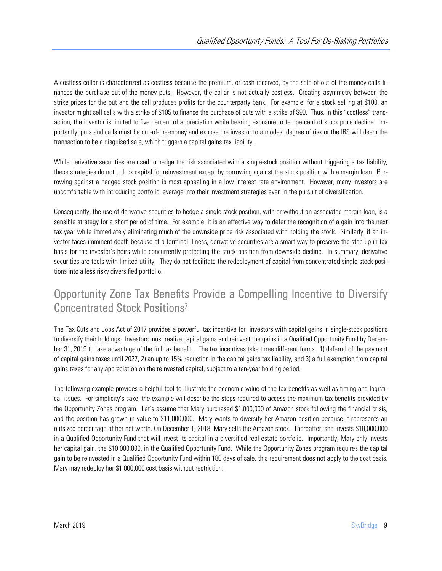A costless collar is characterized as costless because the premium, or cash received, by the sale of out-of-the-money calls finances the purchase out-of-the-money puts. However, the collar is not actually costless. Creating asymmetry between the strike prices for the put and the call produces profits for the counterparty bank. For example, for a stock selling at \$100, an investor might sell calls with a strike of \$105 to finance the purchase of puts with a strike of \$90. Thus, in this "costless" transaction, the investor is limited to five percent of appreciation while bearing exposure to ten percent of stock price decline. Importantly, puts and calls must be out-of-the-money and expose the investor to a modest degree of risk or the IRS will deem the transaction to be a disguised sale, which triggers a capital gains tax liability.

While derivative securities are used to hedge the risk associated with a single-stock position without triggering a tax liability, these strategies do not unlock capital for reinvestment except by borrowing against the stock position with a margin loan. Borrowing against a hedged stock position is most appealing in a low interest rate environment. However, many investors are uncomfortable with introducing portfolio leverage into their investment strategies even in the pursuit of diversification.

Consequently, the use of derivative securities to hedge a single stock position, with or without an associated margin loan, is a sensible strategy for a short period of time. For example, it is an effective way to defer the recognition of a gain into the next tax year while immediately eliminating much of the downside price risk associated with holding the stock. Similarly, if an investor faces imminent death because of a terminal illness, derivative securities are a smart way to preserve the step up in tax basis for the investor's heirs while concurrently protecting the stock position from downside decline. In summary, derivative securities are tools with limited utility. They do not facilitate the redeployment of capital from concentrated single stock positions into a less risky diversified portfolio.

## Opportunity Zone Tax Benefits Provide a Compelling Incentive to Diversify Concentrated Stock Positions7

The Tax Cuts and Jobs Act of 2017 provides a powerful tax incentive for investors with capital gains in single-stock positions to diversify their holdings. Investors must realize capital gains and reinvest the gains in a Qualified Opportunity Fund by December 31, 2019 to take advantage of the full tax benefit. The tax incentives take three different forms: 1) deferral of the payment of capital gains taxes until 2027, 2) an up to 15% reduction in the capital gains tax liability, and 3) a full exemption from capital gains taxes for any appreciation on the reinvested capital, subject to a ten-year holding period.

The following example provides a helpful tool to illustrate the economic value of the tax benefits as well as timing and logistical issues. For simplicity's sake, the example will describe the steps required to access the maximum tax benefits provided by the Opportunity Zones program. Let's assume that Mary purchased \$1,000,000 of Amazon stock following the financial crisis, and the position has grown in value to \$11,000,000. Mary wants to diversify her Amazon position because it represents an outsized percentage of her net worth. On December 1, 2018, Mary sells the Amazon stock. Thereafter, she invests \$10,000,000 in a Qualified Opportunity Fund that will invest its capital in a diversified real estate portfolio. Importantly, Mary only invests her capital gain, the \$10,000,000, in the Qualified Opportunity Fund. While the Opportunity Zones program requires the capital gain to be reinvested in a Qualified Opportunity Fund within 180 days of sale, this requirement does not apply to the cost basis. Mary may redeploy her \$1,000,000 cost basis without restriction.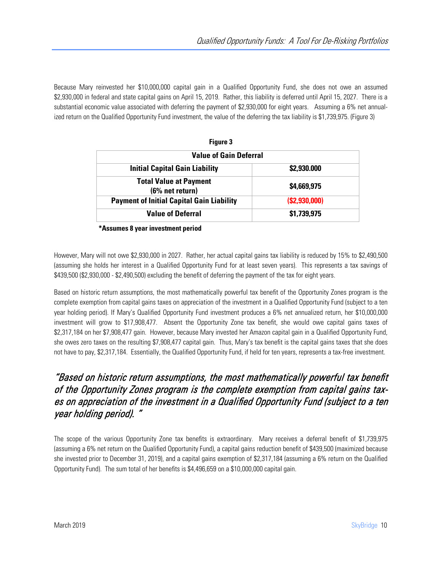Because Mary reinvested her \$10,000,000 capital gain in a Qualified Opportunity Fund, she does not owe an assumed \$2,930,000 in federal and state capital gains on April 15, 2019. Rather, this liability is deferred until April 15, 2027. There is a substantial economic value associated with deferring the payment of \$2,930,000 for eight years. Assuming a 6% net annualized return on the Qualified Opportunity Fund investment, the value of the deferring the tax liability is \$1,739,975. (Figure 3)

| Figure 3<br><b>Value of Gain Deferral</b>        |              |  |
|--------------------------------------------------|--------------|--|
|                                                  |              |  |
| <b>Total Value at Payment</b><br>(6% net return) | \$4,669,975  |  |
| <b>Payment of Initial Capital Gain Liability</b> | (S2,930,000) |  |
| <b>Value of Deferral</b>                         | \$1,739,975  |  |

**\*Assumes 8 year investment period** 

However, Mary will not owe \$2,930,000 in 2027. Rather, her actual capital gains tax liability is reduced by 15% to \$2,490,500 (assuming she holds her interest in a Qualified Opportunity Fund for at least seven years). This represents a tax savings of \$439,500 (\$2,930,000 - \$2,490,500) excluding the benefit of deferring the payment of the tax for eight years.

Based on historic return assumptions, the most mathematically powerful tax benefit of the Opportunity Zones program is the complete exemption from capital gains taxes on appreciation of the investment in a Qualified Opportunity Fund (subject to a ten year holding period). If Mary's Qualified Opportunity Fund investment produces a 6% net annualized return, her \$10,000,000 investment will grow to \$17,908,477. Absent the Opportunity Zone tax benefit, she would owe capital gains taxes of \$2,317,184 on her \$7,908,477 gain. However, because Mary invested her Amazon capital gain in a Qualified Opportunity Fund, she owes zero taxes on the resulting \$7,908,477 capital gain. Thus, Mary's tax benefit is the capital gains taxes that she does not have to pay, \$2,317,184. Essentially, the Qualified Opportunity Fund, if held for ten years, represents a tax-free investment.

#### "Based on historic return assumptions, the most mathematically powerful tax benefit of the Opportunity Zones program is the complete exemption from capital gains taxes on appreciation of the investment in a Qualified Opportunity Fund (subject to a ten year holding period). "

The scope of the various Opportunity Zone tax benefits is extraordinary. Mary receives a deferral benefit of \$1,739,975 (assuming a 6% net return on the Qualified Opportunity Fund), a capital gains reduction benefit of \$439,500 (maximized because she invested prior to December 31, 2019), and a capital gains exemption of \$2,317,184 (assuming a 6% return on the Qualified Opportunity Fund). The sum total of her benefits is \$4,496,659 on a \$10,000,000 capital gain.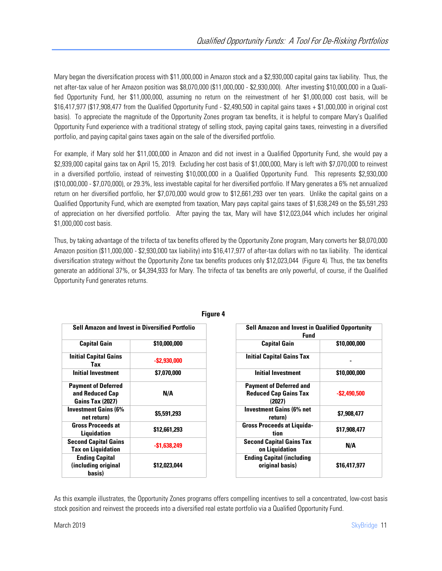Mary began the diversification process with \$11,000,000 in Amazon stock and a \$2,930,000 capital gains tax liability. Thus, the net after-tax value of her Amazon position was \$8,070,000 (\$11,000,000 - \$2,930,000). After investing \$10,000,000 in a Qualified Opportunity Fund, her \$11,000,000, assuming no return on the reinvestment of her \$1,000,000 cost basis, will be \$16,417,977 (\$17,908,477 from the Qualified Opportunity Fund - \$2,490,500 in capital gains taxes + \$1,000,000 in original cost basis). To appreciate the magnitude of the Opportunity Zones program tax benefits, it is helpful to compare Mary's Qualified Opportunity Fund experience with a traditional strategy of selling stock, paying capital gains taxes, reinvesting in a diversified portfolio, and paying capital gains taxes again on the sale of the diversified portfolio.

For example, if Mary sold her \$11,000,000 in Amazon and did not invest in a Qualified Opportunity Fund, she would pay a \$2,939,000 capital gains tax on April 15, 2019. Excluding her cost basis of \$1,000,000, Mary is left with \$7,070,000 to reinvest in a diversified portfolio, instead of reinvesting \$10,000,000 in a Qualified Opportunity Fund. This represents \$2,930,000 (\$10,000,000 - \$7,070,000), or 29.3%, less investable capital for her diversified portfolio. If Mary generates a 6% net annualized return on her diversified portfolio, her \$7,070,000 would grow to \$12,661,293 over ten years. Unlike the capital gains on a Qualified Opportunity Fund, which are exempted from taxation, Mary pays capital gains taxes of \$1,638,249 on the \$5,591,293 of appreciation on her diversified portfolio. After paying the tax, Mary will have \$12,023,044 which includes her original \$1,000,000 cost basis.

Thus, by taking advantage of the trifecta of tax benefits offered by the Opportunity Zone program, Mary converts her \$8,070,000 Amazon position (\$11,000,000 - \$2,930,000 tax liability) into \$16,417,977 of after-tax dollars with no tax liability. The identical diversification strategy without the Opportunity Zone tax benefits produces only \$12,023,044 (Figure 4). Thus, the tax benefits generate an additional 37%, or \$4,394,933 for Mary. The trifecta of tax benefits are only powerful, of course, if the Qualified Opportunity Fund generates returns.

| <b>Sell Amazon and Invest in Diversified Portfolio</b>                   |                 | <b>Sell Amazon and Invest in Qualified Opportun</b><br><b>Fund</b>       |                 |
|--------------------------------------------------------------------------|-----------------|--------------------------------------------------------------------------|-----------------|
| <b>Capital Gain</b>                                                      | \$10,000,000    | <b>Capital Gain</b>                                                      | \$10,000,000    |
| <b>Initial Capital Gains</b><br>Tax                                      | $-$ \$2,930,000 | <b>Initial Capital Gains Tax</b>                                         |                 |
| <b>Initial Investment</b>                                                | \$7.070.000     | <b>Initial Investment</b>                                                | \$10,000,000    |
| <b>Payment of Deferred</b><br>and Reduced Cap<br><b>Gains Tax (2027)</b> | N/A             | <b>Payment of Deferred and</b><br><b>Reduced Cap Gains Tax</b><br>(2027) | $-$ \$2,490,500 |
| <b>Investment Gains (6%</b><br>net return)                               | \$5,591,293     | <b>Investment Gains (6% net</b><br>return)                               | \$7,908,477     |
| <b>Gross Proceeds at</b><br><b>Liquidation</b>                           | \$12,661,293    | <b>Gross Proceeds at Liquida-</b><br>tion                                | \$17,908,477    |
| <b>Second Capital Gains</b><br><b>Tax on Liquidation</b>                 | $-$1.638.249$   | <b>Second Capital Gains Tax</b><br>on Liquidation                        | N/A             |
| <b>Ending Capital</b><br>(including original<br>basis)                   | \$12,023,044    | <b>Ending Capital (including</b><br>original basis)                      | \$16,417,977    |

**Figure 4** 

| <b>Sell Amazon and Invest in Diversified Portfolio</b>           |                 | <b>Sell Amazon and Invest in Qualified Opportunity</b><br><b>Fund</b>    |                 |  |
|------------------------------------------------------------------|-----------------|--------------------------------------------------------------------------|-----------------|--|
| <b>Capital Gain</b>                                              | \$10,000,000    | <b>Capital Gain</b>                                                      | \$10,000,000    |  |
| nitial Capital Gains<br>Tax                                      | $-$ \$2,930,000 | <b>Initial Capital Gains Tax</b>                                         |                 |  |
| <b>Initial Investment</b>                                        | \$7,070,000     | <b>Initial Investment</b>                                                | \$10,000,000    |  |
| ayment of Deferred<br>and Reduced Cap<br><b>Gains Tax (2027)</b> | N/A             | <b>Payment of Deferred and</b><br><b>Reduced Cap Gains Tax</b><br>(2027) | $-$ \$2,490,500 |  |
| vestment Gains (6%<br>net return)                                | \$5,591,293     | <b>Investment Gains (6% net</b><br>return)                               | \$7,908,477     |  |
| Gross Proceeds at<br>Liquidation                                 | \$12,661,293    | <b>Gross Proceeds at Liquida-</b><br>tion                                | \$17,908,477    |  |
| cond Capital Gains<br><b>Tax on Liquidation</b>                  | $-$1,638,249$   | <b>Second Capital Gains Tax</b><br>on Liquidation                        | N/A             |  |
| <b>Ending Capital</b><br>including original<br>hasis)            | \$12,023,044    | <b>Ending Capital (including</b><br>original basis)                      | \$16,417,977    |  |

As this example illustrates, the Opportunity Zones programs offers compelling incentives to sell a concentrated, low-cost basis stock position and reinvest the proceeds into a diversified real estate portfolio via a Qualified Opportunity Fund.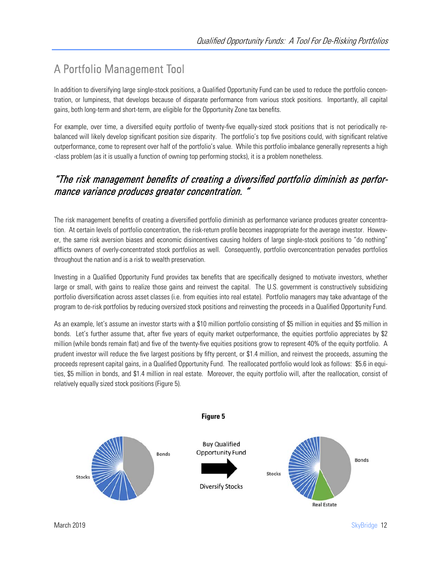## A Portfolio Management Tool

In addition to diversifying large single-stock positions, a Qualified Opportunity Fund can be used to reduce the portfolio concentration, or lumpiness, that develops because of disparate performance from various stock positions. Importantly, all capital gains, both long-term and short-term, are eligible for the Opportunity Zone tax benefits.

For example, over time, a diversified equity portfolio of twenty-five equally-sized stock positions that is not periodically rebalanced will likely develop significant position size disparity. The portfolio's top five positions could, with significant relative outperformance, come to represent over half of the portfolio's value. While this portfolio imbalance generally represents a high -class problem (as it is usually a function of owning top performing stocks), it is a problem nonetheless.

#### "The risk management benefits of creating a diversified portfolio diminish as performance variance produces greater concentration. "

The risk management benefits of creating a diversified portfolio diminish as performance variance produces greater concentration. At certain levels of portfolio concentration, the risk-return profile becomes inappropriate for the average investor. However, the same risk aversion biases and economic disincentives causing holders of large single-stock positions to "do nothing" afflicts owners of overly-concentrated stock portfolios as well. Consequently, portfolio overconcentration pervades portfolios throughout the nation and is a risk to wealth preservation.

Investing in a Qualified Opportunity Fund provides tax benefits that are specifically designed to motivate investors, whether large or small, with gains to realize those gains and reinvest the capital. The U.S. government is constructively subsidizing portfolio diversification across asset classes (i.e. from equities into real estate). Portfolio managers may take advantage of the program to de-risk portfolios by reducing oversized stock positions and reinvesting the proceeds in a Qualified Opportunity Fund.

As an example, let's assume an investor starts with a \$10 million portfolio consisting of \$5 million in equities and \$5 million in bonds. Let's further assume that, after five years of equity market outperformance, the equities portfolio appreciates by \$2 million (while bonds remain flat) and five of the twenty-five equities positions grow to represent 40% of the equity portfolio. A prudent investor will reduce the five largest positions by fifty percent, or \$1.4 million, and reinvest the proceeds, assuming the proceeds represent capital gains, in a Qualified Opportunity Fund. The reallocated portfolio would look as follows: \$5.6 in equities, \$5 million in bonds, and \$1.4 million in real estate. Moreover, the equity portfolio will, after the reallocation, consist of relatively equally sized stock positions (Figure 5).

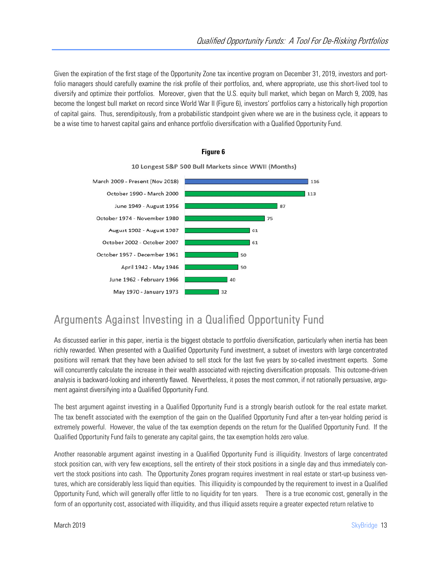Given the expiration of the first stage of the Opportunity Zone tax incentive program on December 31, 2019, investors and portfolio managers should carefully examine the risk profile of their portfolios, and, where appropriate, use this short-lived tool to diversify and optimize their portfolios. Moreover, given that the U.S. equity bull market, which began on March 9, 2009, has become the longest bull market on record since World War II (Figure 6), investors' portfolios carry a historically high proportion of capital gains. Thus, serendipitously, from a probabilistic standpoint given where we are in the business cycle, it appears to be a wise time to harvest capital gains and enhance portfolio diversification with a Qualified Opportunity Fund.



#### **Figure 6**

## Arguments Against Investing in a Qualified Opportunity Fund

As discussed earlier in this paper, inertia is the biggest obstacle to portfolio diversification, particularly when inertia has been richly rewarded. When presented with a Qualified Opportunity Fund investment, a subset of investors with large concentrated positions will remark that they have been advised to sell stock for the last five years by so-called investment experts. Some will concurrently calculate the increase in their wealth associated with rejecting diversification proposals. This outcome-driven analysis is backward-looking and inherently flawed. Nevertheless, it poses the most common, if not rationally persuasive, argument against diversifying into a Qualified Opportunity Fund.

The best argument against investing in a Qualified Opportunity Fund is a strongly bearish outlook for the real estate market. The tax benefit associated with the exemption of the gain on the Qualified Opportunity Fund after a ten-year holding period is extremely powerful. However, the value of the tax exemption depends on the return for the Qualified Opportunity Fund. If the Qualified Opportunity Fund fails to generate any capital gains, the tax exemption holds zero value.

Another reasonable argument against investing in a Qualified Opportunity Fund is illiquidity. Investors of large concentrated stock position can, with very few exceptions, sell the entirety of their stock positions in a single day and thus immediately convert the stock positions into cash. The Opportunity Zones program requires investment in real estate or start-up business ventures, which are considerably less liquid than equities. This illiquidity is compounded by the requirement to invest in a Qualified Opportunity Fund, which will generally offer little to no liquidity for ten years. There is a true economic cost, generally in the form of an opportunity cost, associated with illiquidity, and thus illiquid assets require a greater expected return relative to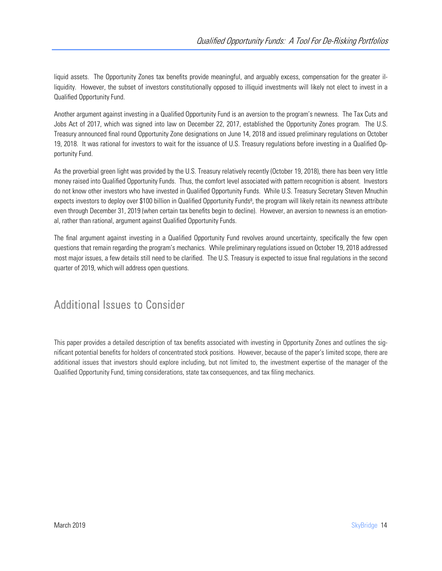liquid assets. The Opportunity Zones tax benefits provide meaningful, and arguably excess, compensation for the greater illiquidity. However, the subset of investors constitutionally opposed to illiquid investments will likely not elect to invest in a Qualified Opportunity Fund.

Another argument against investing in a Qualified Opportunity Fund is an aversion to the program's newness. The Tax Cuts and Jobs Act of 2017, which was signed into law on December 22, 2017, established the Opportunity Zones program. The U.S. Treasury announced final round Opportunity Zone designations on June 14, 2018 and issued preliminary regulations on October 19, 2018. It was rational for investors to wait for the issuance of U.S. Treasury regulations before investing in a Qualified Opportunity Fund.

As the proverbial green light was provided by the U.S. Treasury relatively recently (October 19, 2018), there has been very little money raised into Qualified Opportunity Funds. Thus, the comfort level associated with pattern recognition is absent. Investors do not know other investors who have invested in Qualified Opportunity Funds. While U.S. Treasury Secretary Steven Mnuchin expects investors to deploy over \$100 billion in Qualified Opportunity Funds<sup>8</sup>, the program will likely retain its newness attribute even through December 31, 2019 (when certain tax benefits begin to decline). However, an aversion to newness is an emotional, rather than rational, argument against Qualified Opportunity Funds.

The final argument against investing in a Qualified Opportunity Fund revolves around uncertainty, specifically the few open questions that remain regarding the program's mechanics. While preliminary regulations issued on October 19, 2018 addressed most major issues, a few details still need to be clarified. The U.S. Treasury is expected to issue final regulations in the second quarter of 2019, which will address open questions.

## Additional Issues to Consider

This paper provides a detailed description of tax benefits associated with investing in Opportunity Zones and outlines the significant potential benefits for holders of concentrated stock positions. However, because of the paper's limited scope, there are additional issues that investors should explore including, but not limited to, the investment expertise of the manager of the Qualified Opportunity Fund, timing considerations, state tax consequences, and tax filing mechanics.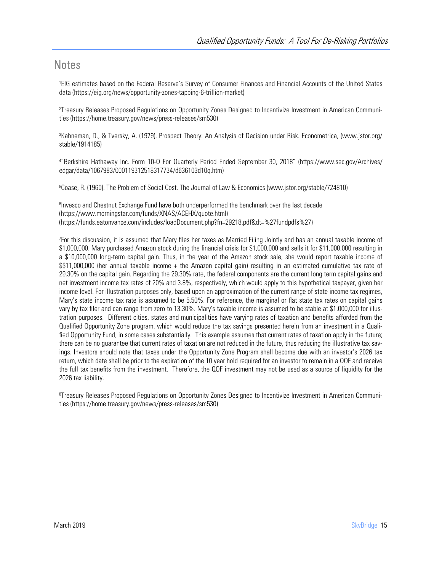#### **Notes**

1 EIG estimates based on the Federal Reserve's Survey of Consumer Finances and Financial Accounts of the United States data (https://eig.org/news/opportunity-zones-tapping-6-trillion-market)

2 Treasury Releases Proposed Regulations on Opportunity Zones Designed to Incentivize Investment in American Communities (https://home.treasury.gov/news/press-releases/sm530)

3 Kahneman, D., & Tversky, A. (1979). Prospect Theory: An Analysis of Decision under Risk. Econometrica, (www.jstor.org/ stable/1914185)

4 "Berkshire Hathaway Inc. Form 10-Q For Quarterly Period Ended September 30, 2018" (https://www.sec.gov/Archives/ edgar/data/1067983/000119312518317734/d636103d10q.htm)

5 Coase, R. (1960). The Problem of Social Cost. The Journal of Law & Economics (www.jstor.org/stable/724810)

<sup>6</sup>Invesco and Chestnut Exchange Fund have both underperformed the benchmark over the last decade (https://www.morningstar.com/funds/XNAS/ACEHX/quote.html) (https://funds.eatonvance.com/includes/loadDocument.php?fn=29218.pdf&dt=%27fundpdfs%27)

7 For this discussion, it is assumed that Mary files her taxes as Married Filing Jointly and has an annual taxable income of \$1,000,000. Mary purchased Amazon stock during the financial crisis for \$1,000,000 and sells it for \$11,000,000 resulting in a \$10,000,000 long-term capital gain. Thus, in the year of the Amazon stock sale, she would report taxable income of \$\$11,000,000 (her annual taxable income + the Amazon capital gain) resulting in an estimated cumulative tax rate of 29.30% on the capital gain. Regarding the 29.30% rate, the federal components are the current long term capital gains and net investment income tax rates of 20% and 3.8%, respectively, which would apply to this hypothetical taxpayer, given her income level. For illustration purposes only, based upon an approximation of the current range of state income tax regimes, Mary's state income tax rate is assumed to be 5.50%. For reference, the marginal or flat state tax rates on capital gains vary by tax filer and can range from zero to 13.30%. Mary's taxable income is assumed to be stable at \$1,000,000 for illustration purposes. Different cities, states and municipalities have varying rates of taxation and benefits afforded from the Qualified Opportunity Zone program, which would reduce the tax savings presented herein from an investment in a Qualified Opportunity Fund, in some cases substantially. This example assumes that current rates of taxation apply in the future; there can be no guarantee that current rates of taxation are not reduced in the future, thus reducing the illustrative tax savings. Investors should note that taxes under the Opportunity Zone Program shall become due with an investor's 2026 tax return, which date shall be prior to the expiration of the 10 year hold required for an investor to remain in a QOF and receive the full tax benefits from the investment. Therefore, the QOF investment may not be used as a source of liquidity for the 2026 tax liability.

8 Treasury Releases Proposed Regulations on Opportunity Zones Designed to Incentivize Investment in American Communities (https://home.treasury.gov/news/press-releases/sm530)